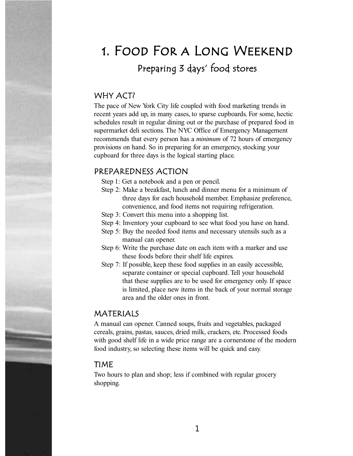# 1. Food For a Long Weekend Preparing 3 days' food stores

### WHY ACT?

The pace of New York City life coupled with food marketing trends in recent years add up, in many cases, to sparse cupboards. For some, hectic schedules result in regular dining out or the purchase of prepared food in supermarket deli sections. The NYC Office of Emergency Management recommends that every person has a *minimum* of 72 hours of emergency provisions on hand. So in preparing for an emergency, stocking your cupboard for three days is the logical starting place.

#### PREPAREDNESS ACTION

- Step 1: Get a notebook and a pen or pencil.
- Step 2: Make a breakfast, lunch and dinner menu for a minimum of three days for each household member. Emphasize preference, convenience, and food items not requiring refrigeration.
- Step 3: Convert this menu into a shopping list.
- Step 4: Inventory your cupboard to see what food you have on hand.
- Step 5: Buy the needed food items and necessary utensils such as a manual can opener.
- Step 6: Write the purchase date on each item with a marker and use these foods before their shelf life expires.
- Step 7: If possible, keep these food supplies in an easily accessible, separate container or special cupboard. Tell your household that these supplies are to be used for emergency only. If space is limited, place new items in the back of your normal storage area and the older ones in front.

#### MATERIALS

A manual can opener. Canned soups, fruits and vegetables, packaged cereals, grains, pastas, sauces, dried milk, crackers, etc. Processed foods with good shelf life in a wide price range are a cornerstone of the modern food industry, so selecting these items will be quick and easy.

#### TIME

Two hours to plan and shop; less if combined with regular grocery shopping.